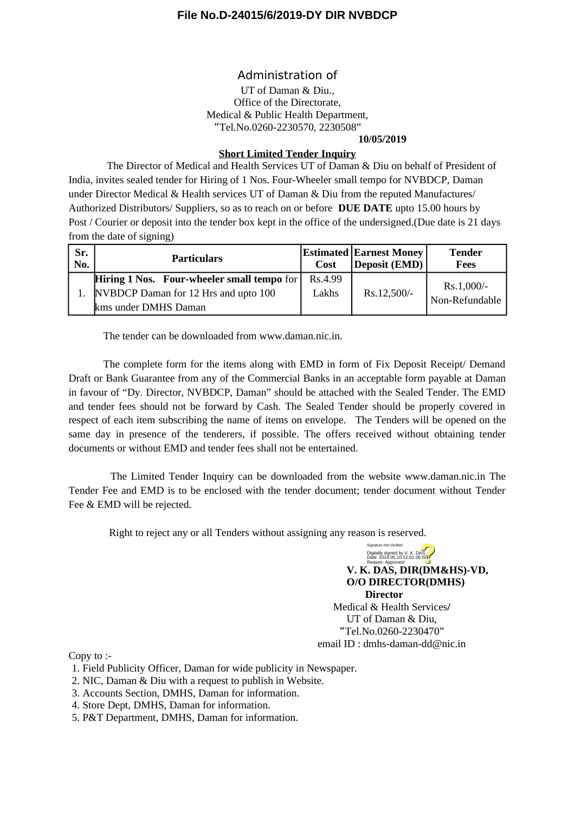#### **File No.D-24015/6/2019-DY DIR NVBDCP**

#### Administration of

UT of Daman & Diu., Office of the Directorate, Medical & Public Health Department, "Tel.No.0260-2230570, 2230508"

**10/05/2019**

#### **Short Limited Tender Inquiry**

The Director of Medical and Health Services UT of Daman & Diu on behalf of President of India, invites sealed tender for Hiring of 1 Nos. Four-Wheeler small tempo for NVBDCP, Daman under Director Medical & Health services UT of Daman & Diu from the reputed Manufactures/ Authorized Distributors/ Suppliers, so as to reach on or before **DUE DATE** upto 15.00 hours by Post / Courier or deposit into the tender box kept in the office of the undersigned.(Due date is 21 days from the date of signing)

| Sr.<br>No. | <b>Particulars</b>                         | Cost    | <b>Estimated Earnest Money</b><br>Deposit (EMD) | Tender<br>Fees                 |
|------------|--------------------------------------------|---------|-------------------------------------------------|--------------------------------|
|            | Hiring 1 Nos. Four-wheeler small tempo for | Rs.4.99 |                                                 |                                |
|            | NVBDCP Daman for 12 Hrs and upto 100       | Lakhs   | Rs.12,500/-                                     | $Rs.1,000/-$<br>Non-Refundable |
|            | kms under DMHS Daman                       |         |                                                 |                                |

The tender can be downloaded from www.daman.nic.in.

The complete form for the items along with EMD in form of Fix Deposit Receipt/ Demand Draft or Bank Guarantee from any of the Commercial Banks in an acceptable form payable at Daman in favour of "Dy. Director, NVBDCP, Daman" should be attached with the Sealed Tender. The EMD and tender fees should not be forward by Cash. The Sealed Tender should be properly covered in respect of each item subscribing the name of items on envelope. The Tenders will be opened on the same day in presence of the tenderers, if possible. The offers received without obtaining tender documents or without EMD and tender fees shall not be entertained.

The Limited Tender Inquiry can be downloaded from the website www.daman.nic.in The Tender Fee and EMD is to be enclosed with the tender document; tender document without Tender Fee & EMD will be rejected.

Right to reject any or all Tenders without assigning any reason is reserved.

**V. K. DAS, DIR(DM&HS)-VD, O/O DIRECTOR(DMHS) Director** Medical & Health Services**/** UT of Daman & Diu, "Tel.No.0260-2230470" email ID : dmhs-daman-dd@nic.in Digitally signed by V. K. DAS<br>Date: 2019.05.10 12:01:26 IST<br>Reason: Approved

Signature Not Verified

Copy to :-

- 1. Field Publicity Officer, Daman for wide publicity in Newspaper.
- 2. NIC, Daman & Diu with a request to publish in Website.
- 3. Accounts Section, DMHS, Daman for information.
- 4. Store Dept, DMHS, Daman for information.
- 5. P&T Department, DMHS, Daman for information.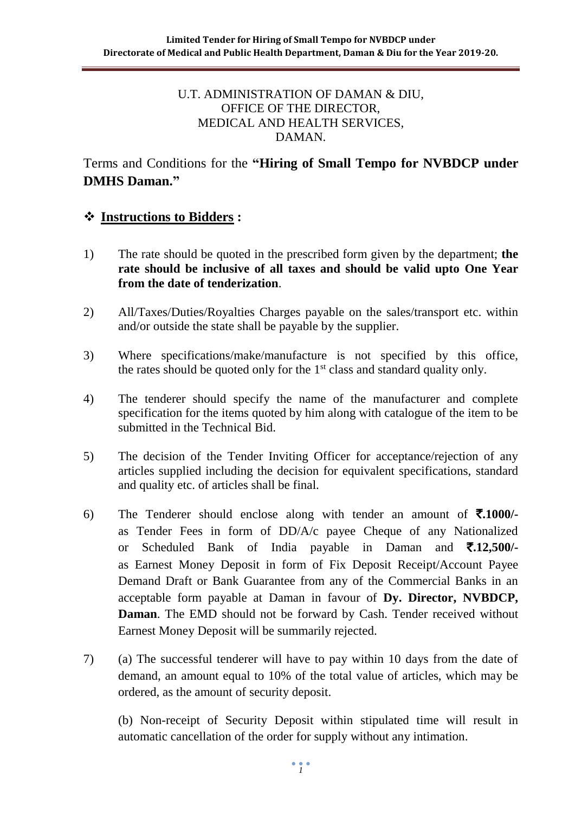#### U.T. ADMINISTRATION OF DAMAN & DIU, OFFICE OF THE DIRECTOR, MEDICAL AND HEALTH SERVICES, DAMAN.

## Terms and Conditions for the **"Hiring of Small Tempo for NVBDCP under DMHS Daman."**

### ❖ **Instructions to Bidders :**

- 1) The rate should be quoted in the prescribed form given by the department; **the rate should be inclusive of all taxes and should be valid upto One Year from the date of tenderization**.
- 2) All/Taxes/Duties/Royalties Charges payable on the sales/transport etc. within and/or outside the state shall be payable by the supplier.
- 3) Where specifications/make/manufacture is not specified by this office, the rates should be quoted only for the  $1<sup>st</sup>$  class and standard quality only.
- 4) The tenderer should specify the name of the manufacturer and complete specification for the items quoted by him along with catalogue of the item to be submitted in the Technical Bid.
- 5) The decision of the Tender Inviting Officer for acceptance/rejection of any articles supplied including the decision for equivalent specifications, standard and quality etc. of articles shall be final.
- 6) The Tenderer should enclose along with tender an amount of  $\bar{\mathbf{z}}$ .1000/as Tender Fees in form of DD/A/c payee Cheque of any Nationalized or Scheduled Bank of India payable in Daman and `**.12,500/** as Earnest Money Deposit in form of Fix Deposit Receipt/Account Payee Demand Draft or Bank Guarantee from any of the Commercial Banks in an acceptable form payable at Daman in favour of **Dy. Director, NVBDCP, Daman**. The EMD should not be forward by Cash. Tender received without Earnest Money Deposit will be summarily rejected.
- 7) (a) The successful tenderer will have to pay within 10 days from the date of demand, an amount equal to 10% of the total value of articles, which may be ordered, as the amount of security deposit.

(b) Non-receipt of Security Deposit within stipulated time will result in automatic cancellation of the order for supply without any intimation.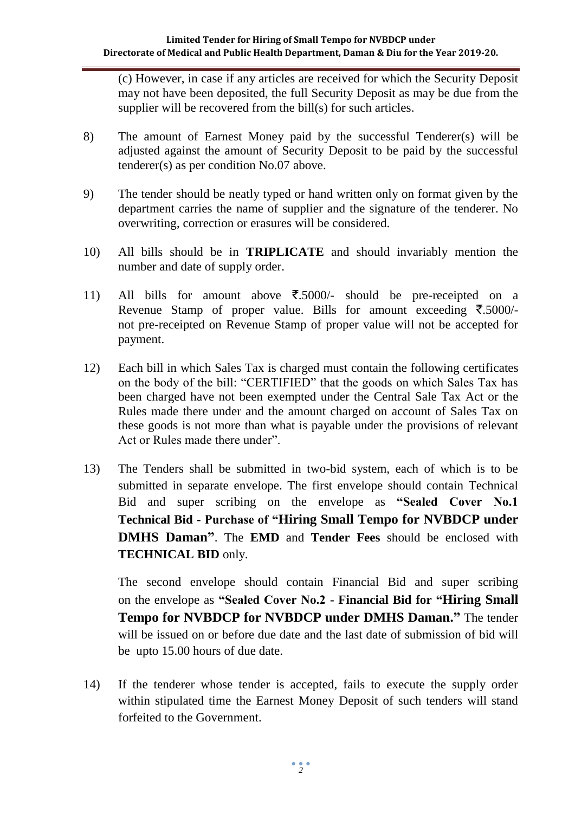(c) However, in case if any articles are received for which the Security Deposit may not have been deposited, the full Security Deposit as may be due from the supplier will be recovered from the bill(s) for such articles.

- 8) The amount of Earnest Money paid by the successful Tenderer(s) will be adjusted against the amount of Security Deposit to be paid by the successful tenderer(s) as per condition No.07 above.
- 9) The tender should be neatly typed or hand written only on format given by the department carries the name of supplier and the signature of the tenderer. No overwriting, correction or erasures will be considered.
- 10) All bills should be in **TRIPLICATE** and should invariably mention the number and date of supply order.
- 11) All bills for amount above  $\overline{\xi}$ .5000/- should be pre-receipted on a Revenue Stamp of proper value. Bills for amount exceeding  $\bar{\mathbf{z}}$ .5000/not pre-receipted on Revenue Stamp of proper value will not be accepted for payment.
- 12) Each bill in which Sales Tax is charged must contain the following certificates on the body of the bill: "CERTIFIED" that the goods on which Sales Tax has been charged have not been exempted under the Central Sale Tax Act or the Rules made there under and the amount charged on account of Sales Tax on these goods is not more than what is payable under the provisions of relevant Act or Rules made there under".
- 13) The Tenders shall be submitted in two-bid system, each of which is to be submitted in separate envelope. The first envelope should contain Technical Bid and super scribing on the envelope as **"Sealed Cover No.1 Technical Bid - Purchase of "Hiring Small Tempo for NVBDCP under DMHS Daman"**. The **EMD** and **Tender Fees** should be enclosed with **TECHNICAL BID** only.

The second envelope should contain Financial Bid and super scribing on the envelope as **"Sealed Cover No.2 - Financial Bid for "Hiring Small Tempo for NVBDCP for NVBDCP under DMHS Daman."** The tender will be issued on or before due date and the last date of submission of bid will be upto 15.00 hours of due date.

14) If the tenderer whose tender is accepted, fails to execute the supply order within stipulated time the Earnest Money Deposit of such tenders will stand forfeited to the Government.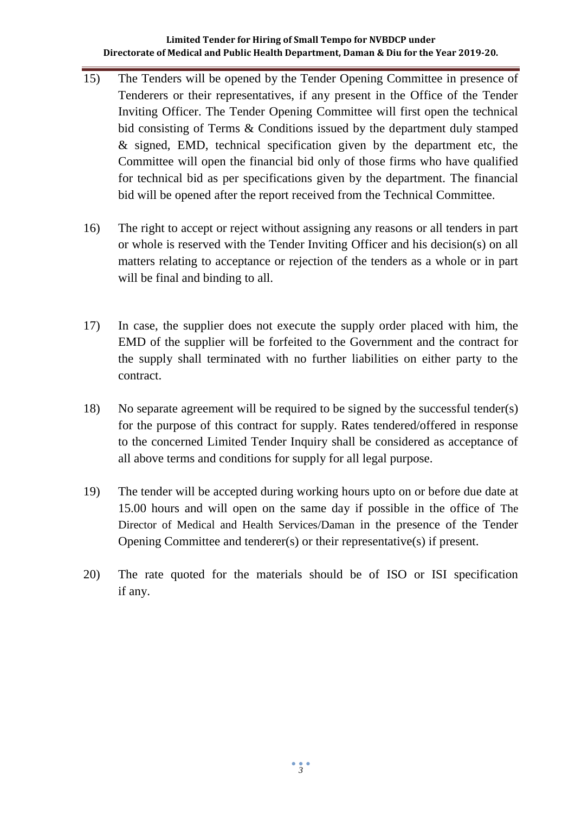#### **Limited Tender for Hiring of Small Tempo for NVBDCP under Directorate of Medical and Public Health Department, Daman & Diu for the Year 2019-20.**

- 15) The Tenders will be opened by the Tender Opening Committee in presence of Tenderers or their representatives, if any present in the Office of the Tender Inviting Officer. The Tender Opening Committee will first open the technical bid consisting of Terms & Conditions issued by the department duly stamped & signed, EMD, technical specification given by the department etc, the Committee will open the financial bid only of those firms who have qualified for technical bid as per specifications given by the department. The financial bid will be opened after the report received from the Technical Committee.
- 16) The right to accept or reject without assigning any reasons or all tenders in part or whole is reserved with the Tender Inviting Officer and his decision(s) on all matters relating to acceptance or rejection of the tenders as a whole or in part will be final and binding to all.
- 17) In case, the supplier does not execute the supply order placed with him, the EMD of the supplier will be forfeited to the Government and the contract for the supply shall terminated with no further liabilities on either party to the contract.
- 18) No separate agreement will be required to be signed by the successful tender(s) for the purpose of this contract for supply. Rates tendered/offered in response to the concerned Limited Tender Inquiry shall be considered as acceptance of all above terms and conditions for supply for all legal purpose.
- 19) The tender will be accepted during working hours upto on or before due date at 15.00 hours and will open on the same day if possible in the office of The Director of Medical and Health Services/Daman in the presence of the Tender Opening Committee and tenderer(s) or their representative(s) if present.
- 20) The rate quoted for the materials should be of ISO or ISI specification if any.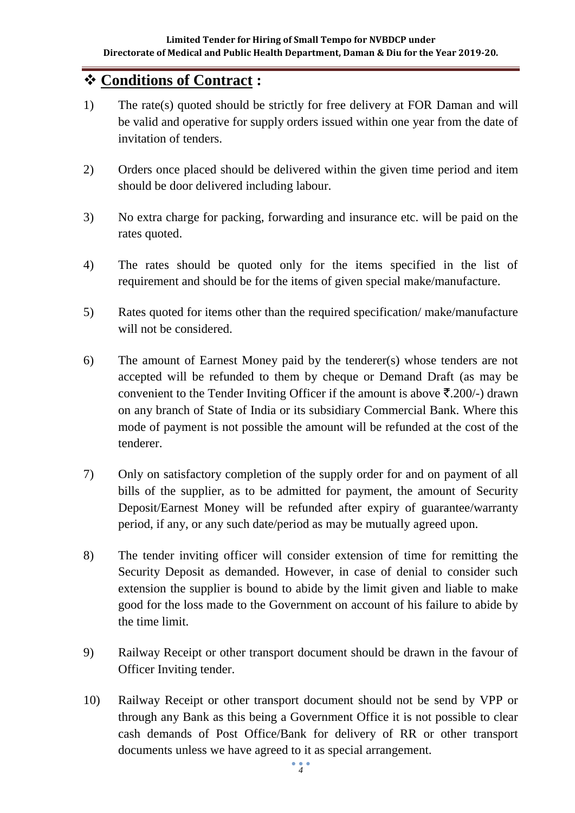## ❖ **Conditions of Contract :**

- 1) The rate(s) quoted should be strictly for free delivery at FOR Daman and will be valid and operative for supply orders issued within one year from the date of invitation of tenders.
- 2) Orders once placed should be delivered within the given time period and item should be door delivered including labour.
- 3) No extra charge for packing, forwarding and insurance etc. will be paid on the rates quoted.
- 4) The rates should be quoted only for the items specified in the list of requirement and should be for the items of given special make/manufacture.
- 5) Rates quoted for items other than the required specification/ make/manufacture will not be considered.
- 6) The amount of Earnest Money paid by the tenderer(s) whose tenders are not accepted will be refunded to them by cheque or Demand Draft (as may be convenient to the Tender Inviting Officer if the amount is above  $\bar{\mathfrak{X}}.200/-$ ) drawn on any branch of State of India or its subsidiary Commercial Bank. Where this mode of payment is not possible the amount will be refunded at the cost of the tenderer.
- 7) Only on satisfactory completion of the supply order for and on payment of all bills of the supplier, as to be admitted for payment, the amount of Security Deposit/Earnest Money will be refunded after expiry of guarantee/warranty period, if any, or any such date/period as may be mutually agreed upon.
- 8) The tender inviting officer will consider extension of time for remitting the Security Deposit as demanded. However, in case of denial to consider such extension the supplier is bound to abide by the limit given and liable to make good for the loss made to the Government on account of his failure to abide by the time limit.
- 9) Railway Receipt or other transport document should be drawn in the favour of Officer Inviting tender.
- 10) Railway Receipt or other transport document should not be send by VPP or through any Bank as this being a Government Office it is not possible to clear cash demands of Post Office/Bank for delivery of RR or other transport documents unless we have agreed to it as special arrangement.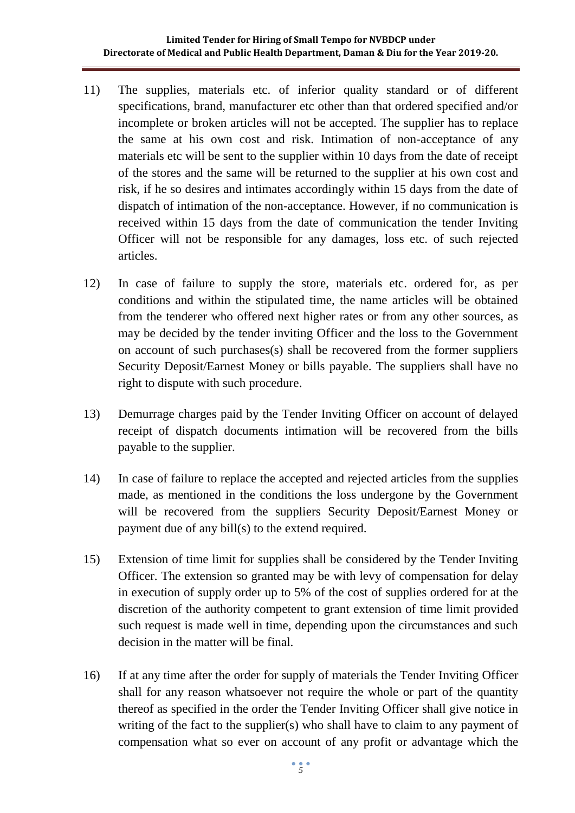#### **Limited Tender for Hiring of Small Tempo for NVBDCP under Directorate of Medical and Public Health Department, Daman & Diu for the Year 2019-20.**

- 11) The supplies, materials etc. of inferior quality standard or of different specifications, brand, manufacturer etc other than that ordered specified and/or incomplete or broken articles will not be accepted. The supplier has to replace the same at his own cost and risk. Intimation of non-acceptance of any materials etc will be sent to the supplier within 10 days from the date of receipt of the stores and the same will be returned to the supplier at his own cost and risk, if he so desires and intimates accordingly within 15 days from the date of dispatch of intimation of the non-acceptance. However, if no communication is received within 15 days from the date of communication the tender Inviting Officer will not be responsible for any damages, loss etc. of such rejected articles.
- 12) In case of failure to supply the store, materials etc. ordered for, as per conditions and within the stipulated time, the name articles will be obtained from the tenderer who offered next higher rates or from any other sources, as may be decided by the tender inviting Officer and the loss to the Government on account of such purchases(s) shall be recovered from the former suppliers Security Deposit/Earnest Money or bills payable. The suppliers shall have no right to dispute with such procedure.
- 13) Demurrage charges paid by the Tender Inviting Officer on account of delayed receipt of dispatch documents intimation will be recovered from the bills payable to the supplier.
- 14) In case of failure to replace the accepted and rejected articles from the supplies made, as mentioned in the conditions the loss undergone by the Government will be recovered from the suppliers Security Deposit/Earnest Money or payment due of any bill(s) to the extend required.
- 15) Extension of time limit for supplies shall be considered by the Tender Inviting Officer. The extension so granted may be with levy of compensation for delay in execution of supply order up to 5% of the cost of supplies ordered for at the discretion of the authority competent to grant extension of time limit provided such request is made well in time, depending upon the circumstances and such decision in the matter will be final.
- 16) If at any time after the order for supply of materials the Tender Inviting Officer shall for any reason whatsoever not require the whole or part of the quantity thereof as specified in the order the Tender Inviting Officer shall give notice in writing of the fact to the supplier(s) who shall have to claim to any payment of compensation what so ever on account of any profit or advantage which the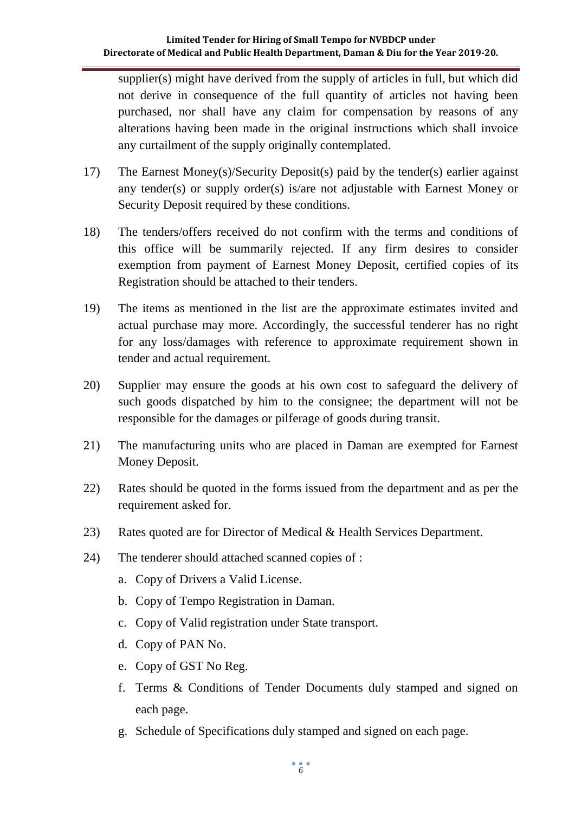#### **Limited Tender for Hiring of Small Tempo for NVBDCP under Directorate of Medical and Public Health Department, Daman & Diu for the Year 2019-20.**

supplier(s) might have derived from the supply of articles in full, but which did not derive in consequence of the full quantity of articles not having been purchased, nor shall have any claim for compensation by reasons of any alterations having been made in the original instructions which shall invoice any curtailment of the supply originally contemplated.

- 17) The Earnest Money(s)/Security Deposit(s) paid by the tender(s) earlier against any tender(s) or supply order(s) is/are not adjustable with Earnest Money or Security Deposit required by these conditions.
- 18) The tenders/offers received do not confirm with the terms and conditions of this office will be summarily rejected. If any firm desires to consider exemption from payment of Earnest Money Deposit, certified copies of its Registration should be attached to their tenders.
- 19) The items as mentioned in the list are the approximate estimates invited and actual purchase may more. Accordingly, the successful tenderer has no right for any loss/damages with reference to approximate requirement shown in tender and actual requirement.
- 20) Supplier may ensure the goods at his own cost to safeguard the delivery of such goods dispatched by him to the consignee; the department will not be responsible for the damages or pilferage of goods during transit.
- 21) The manufacturing units who are placed in Daman are exempted for Earnest Money Deposit.
- 22) Rates should be quoted in the forms issued from the department and as per the requirement asked for.
- 23) Rates quoted are for Director of Medical & Health Services Department.
- 24) The tenderer should attached scanned copies of :
	- a. Copy of Drivers a Valid License.
	- b. Copy of Tempo Registration in Daman.
	- c. Copy of Valid registration under State transport.
	- d. Copy of PAN No.
	- e. Copy of GST No Reg.
	- f. Terms & Conditions of Tender Documents duly stamped and signed on each page.
	- g. Schedule of Specifications duly stamped and signed on each page.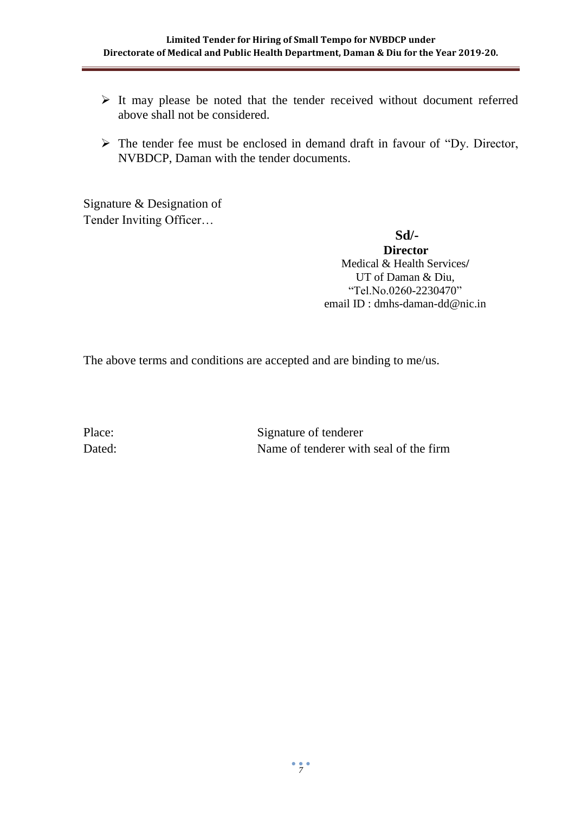- ➢ It may please be noted that the tender received without document referred above shall not be considered.
- ➢ The tender fee must be enclosed in demand draft in favour of "Dy. Director, NVBDCP, Daman with the tender documents.

Signature & Designation of Tender Inviting Officer…

**Sd/-**

**Director** Medical & Health Services**/** UT of Daman & Diu, "Tel.No.0260-2230470" email ID : dmhs-daman-dd@nic.in

The above terms and conditions are accepted and are binding to me/us.

Place: Signature of tenderer Dated: Name of tenderer with seal of the firm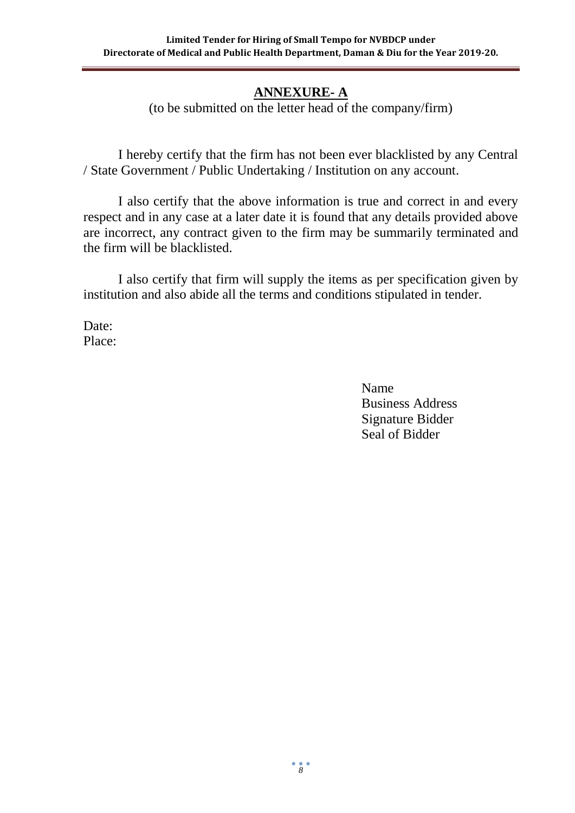## **ANNEXURE- A**

(to be submitted on the letter head of the company/firm)

I hereby certify that the firm has not been ever blacklisted by any Central / State Government / Public Undertaking / Institution on any account.

I also certify that the above information is true and correct in and every respect and in any case at a later date it is found that any details provided above are incorrect, any contract given to the firm may be summarily terminated and the firm will be blacklisted.

I also certify that firm will supply the items as per specification given by institution and also abide all the terms and conditions stipulated in tender.

Date: Place:

> Name Business Address Signature Bidder Seal of Bidder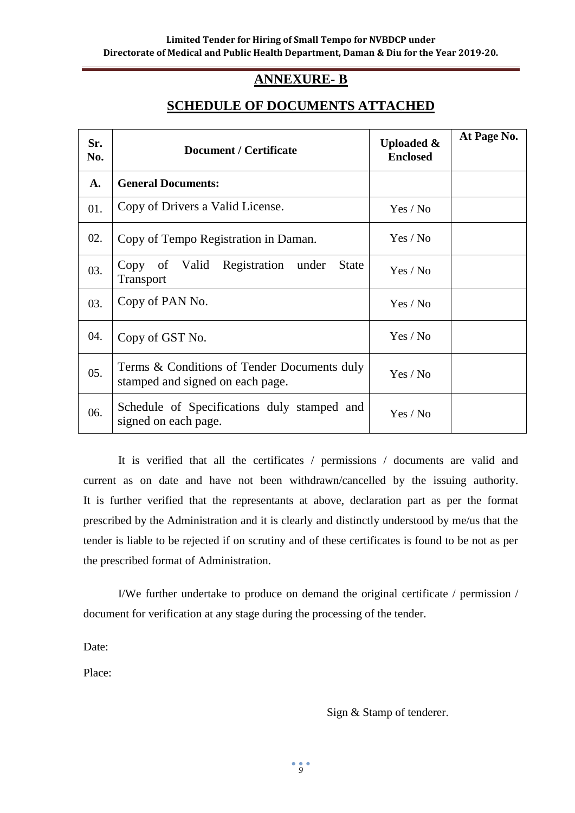#### **ANNEXURE- B**

### **SCHEDULE OF DOCUMENTS ATTACHED**

| Sr.<br>No. | <b>Document / Certificate</b>                                                   | <b>Uploaded &amp;</b><br><b>Enclosed</b> | At Page No. |
|------------|---------------------------------------------------------------------------------|------------------------------------------|-------------|
| A.         | <b>General Documents:</b>                                                       |                                          |             |
| 01.        | Copy of Drivers a Valid License.                                                | Yes / No                                 |             |
| 02.        | Copy of Tempo Registration in Daman.                                            | Yes / No                                 |             |
| 03.        | Registration<br><b>State</b><br>Valid<br>Copy of<br>under<br>Transport          | Yes / No                                 |             |
| 03.        | Copy of PAN No.                                                                 | Yes / No                                 |             |
| 04.        | Copy of GST No.                                                                 | Yes / No                                 |             |
| 05.        | Terms & Conditions of Tender Documents duly<br>stamped and signed on each page. | Yes / No                                 |             |
| 06.        | Schedule of Specifications duly stamped and<br>signed on each page.             | Yes / No                                 |             |

It is verified that all the certificates / permissions / documents are valid and current as on date and have not been withdrawn/cancelled by the issuing authority. It is further verified that the representants at above, declaration part as per the format prescribed by the Administration and it is clearly and distinctly understood by me/us that the tender is liable to be rejected if on scrutiny and of these certificates is found to be not as per the prescribed format of Administration.

I/We further undertake to produce on demand the original certificate / permission / document for verification at any stage during the processing of the tender.

Date:

Place:

Sign & Stamp of tenderer.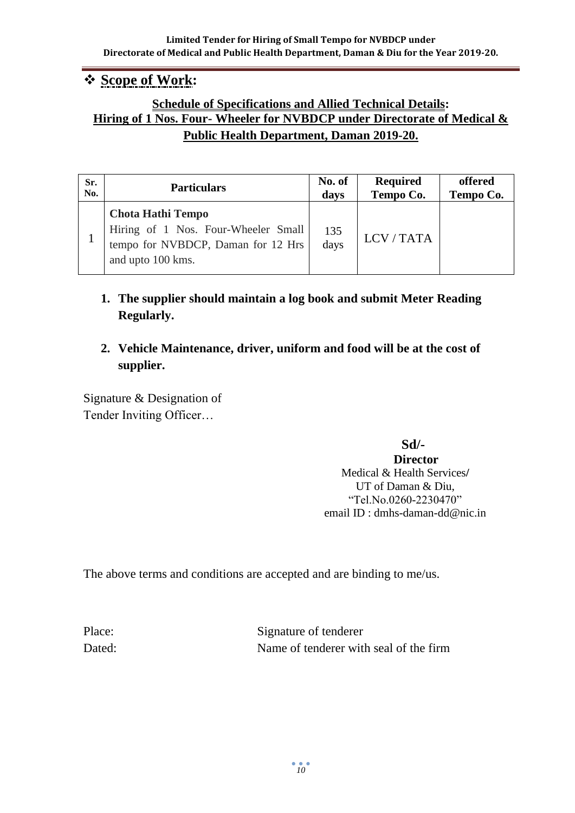## ❖ **Scope of Work:**

### **Schedule of Specifications and Allied Technical Details: Hiring of 1 Nos. Four- Wheeler for NVBDCP under Directorate of Medical & Public Health Department, Daman 2019-20.**

| Sr. | <b>Particulars</b>                                                                                                         | No. of      | <b>Required</b> | offered   |
|-----|----------------------------------------------------------------------------------------------------------------------------|-------------|-----------------|-----------|
| No. |                                                                                                                            | days        | Tempo Co.       | Tempo Co. |
|     | <b>Chota Hathi Tempo</b><br>Hiring of 1 Nos. Four-Wheeler Small<br>tempo for NVBDCP, Daman for 12 Hrs<br>and upto 100 kms. | 135<br>days | LCV/TATA        |           |

### **1. The supplier should maintain a log book and submit Meter Reading Regularly.**

### **2. Vehicle Maintenance, driver, uniform and food will be at the cost of supplier.**

Signature & Designation of Tender Inviting Officer…

**Sd/-**

#### **Director** Medical & Health Services**/** UT of Daman & Diu, "Tel.No.0260-2230470" email ID : dmhs-daman-dd@nic.in

The above terms and conditions are accepted and are binding to me/us.

Place: Signature of tenderer Dated: Name of tenderer with seal of the firm